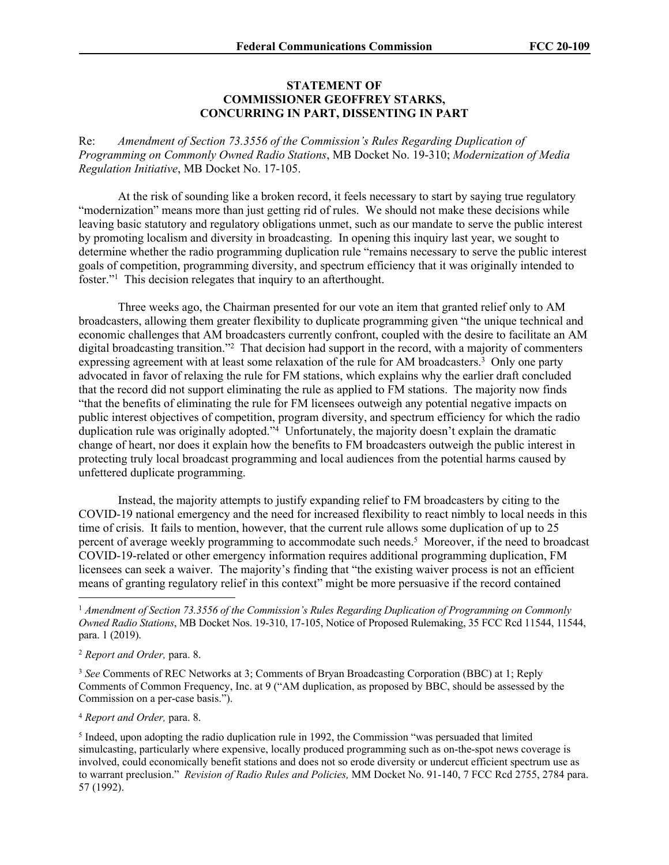## **STATEMENT OF COMMISSIONER GEOFFREY STARKS, CONCURRING IN PART, DISSENTING IN PART**

Re: *Amendment of Section 73.3556 of the Commission's Rules Regarding Duplication of Programming on Commonly Owned Radio Stations*, MB Docket No. 19-310; *Modernization of Media Regulation Initiative*, MB Docket No. 17-105.

At the risk of sounding like a broken record, it feels necessary to start by saying true regulatory "modernization" means more than just getting rid of rules. We should not make these decisions while leaving basic statutory and regulatory obligations unmet, such as our mandate to serve the public interest by promoting localism and diversity in broadcasting. In opening this inquiry last year, we sought to determine whether the radio programming duplication rule "remains necessary to serve the public interest goals of competition, programming diversity, and spectrum efficiency that it was originally intended to foster."<sup>1</sup> This decision relegates that inquiry to an afterthought.

Three weeks ago, the Chairman presented for our vote an item that granted relief only to AM broadcasters, allowing them greater flexibility to duplicate programming given "the unique technical and economic challenges that AM broadcasters currently confront, coupled with the desire to facilitate an AM digital broadcasting transition."<sup>2</sup> That decision had support in the record, with a majority of commenters expressing agreement with at least some relaxation of the rule for AM broadcasters.<sup>3</sup> Only one party advocated in favor of relaxing the rule for FM stations, which explains why the earlier draft concluded that the record did not support eliminating the rule as applied to FM stations. The majority now finds "that the benefits of eliminating the rule for FM licensees outweigh any potential negative impacts on public interest objectives of competition, program diversity, and spectrum efficiency for which the radio duplication rule was originally adopted."<sup>4</sup> Unfortunately, the majority doesn't explain the dramatic change of heart, nor does it explain how the benefits to FM broadcasters outweigh the public interest in protecting truly local broadcast programming and local audiences from the potential harms caused by unfettered duplicate programming.

Instead, the majority attempts to justify expanding relief to FM broadcasters by citing to the COVID-19 national emergency and the need for increased flexibility to react nimbly to local needs in this time of crisis. It fails to mention, however, that the current rule allows some duplication of up to 25 percent of average weekly programming to accommodate such needs.<sup>5</sup> Moreover, if the need to broadcast COVID-19-related or other emergency information requires additional programming duplication, FM licensees can seek a waiver. The majority's finding that "the existing waiver process is not an efficient means of granting regulatory relief in this context" might be more persuasive if the record contained

<sup>3</sup> *See* Comments of REC Networks at 3; Comments of Bryan Broadcasting Corporation (BBC) at 1; Reply Comments of Common Frequency, Inc. at 9 ("AM duplication, as proposed by BBC, should be assessed by the Commission on a per-case basis.").

<sup>4</sup> *Report and Order,* para. 8.

<sup>5</sup> Indeed, upon adopting the radio duplication rule in 1992, the Commission "was persuaded that limited simulcasting, particularly where expensive, locally produced programming such as on-the-spot news coverage is involved, could economically benefit stations and does not so erode diversity or undercut efficient spectrum use as to warrant preclusion." *Revision of Radio Rules and Policies,* MM Docket No. 91-140, 7 FCC Rcd 2755, 2784 para. 57 (1992).

<sup>1</sup> *Amendment of Section 73.3556 of the Commission's Rules Regarding Duplication of Programming on Commonly Owned Radio Stations*, MB Docket Nos. 19-310, 17-105, Notice of Proposed Rulemaking, 35 FCC Rcd 11544, 11544, para. 1 (2019).

<sup>2</sup> *Report and Order,* para. 8.